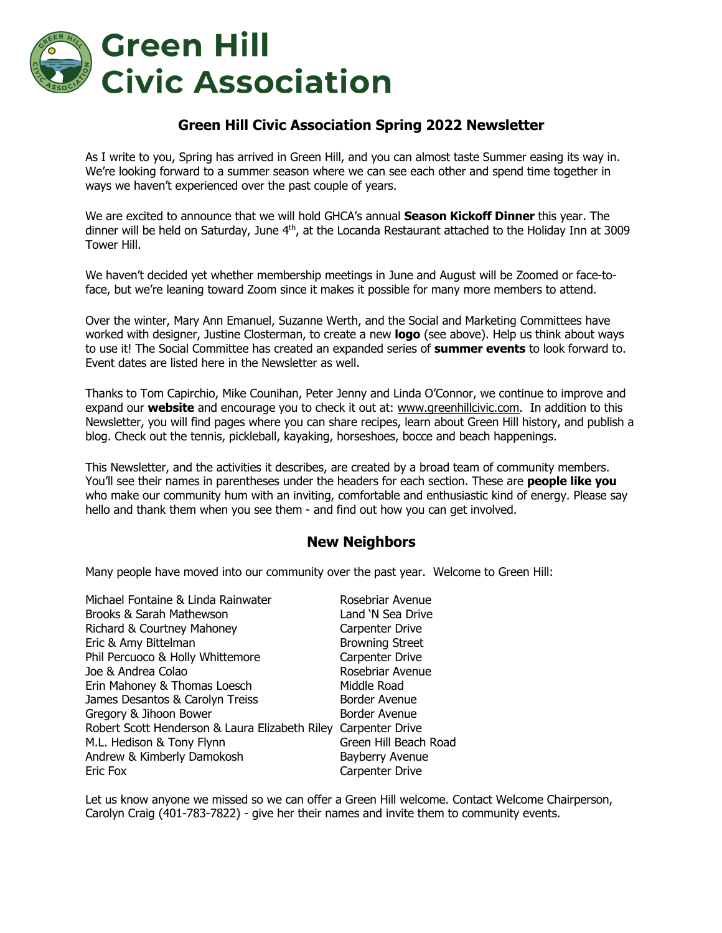

## **Green Hill Civic Association Spring 2022 Newsletter**

As I write to you, Spring has arrived in Green Hill, and you can almost taste Summer easing its way in. We're looking forward to a summer season where we can see each other and spend time together in ways we haven't experienced over the past couple of years.

We are excited to announce that we will hold GHCA's annual **Season Kickoff Dinner** this year. The dinner will be held on Saturday, June 4<sup>th</sup>, at the Locanda Restaurant attached to the Holiday Inn at 3009 Tower Hill.

We haven't decided yet whether membership meetings in June and August will be Zoomed or face-toface, but we're leaning toward Zoom since it makes it possible for many more members to attend.

Over the winter, Mary Ann Emanuel, Suzanne Werth, and the Social and Marketing Committees have worked with designer, Justine Closterman, to create a new **logo** (see above). Help us think about ways to use it! The Social Committee has created an expanded series of **summer events** to look forward to. Event dates are listed here in the Newsletter as well.

Thanks to Tom Capirchio, Mike Counihan, Peter Jenny and Linda O'Connor, we continue to improve and expand our **website** and encourage you to check it out at: www.greenhillcivic.com. In addition to this Newsletter, you will find pages where you can share recipes, learn about Green Hill history, and publish a blog. Check out the tennis, pickleball, kayaking, horseshoes, bocce and beach happenings.

This Newsletter, and the activities it describes, are created by a broad team of community members. You'll see their names in parentheses under the headers for each section. These are **people like you** who make our community hum with an inviting, comfortable and enthusiastic kind of energy. Please say hello and thank them when you see them - and find out how you can get involved.

### **New Neighbors**

Many people have moved into our community over the past year. Welcome to Green Hill:

| Rosebriar Avenue                                               |
|----------------------------------------------------------------|
| Land 'N Sea Drive                                              |
| Carpenter Drive                                                |
| <b>Browning Street</b>                                         |
| Carpenter Drive                                                |
| Rosebriar Avenue                                               |
| Middle Road                                                    |
| Border Avenue                                                  |
| Border Avenue                                                  |
| Robert Scott Henderson & Laura Elizabeth Riley Carpenter Drive |
| Green Hill Beach Road                                          |
| Bayberry Avenue                                                |
| Carpenter Drive                                                |
|                                                                |

Let us know anyone we missed so we can offer a Green Hill welcome. Contact Welcome Chairperson, Carolyn Craig (401-783-7822) - give her their names and invite them to community events.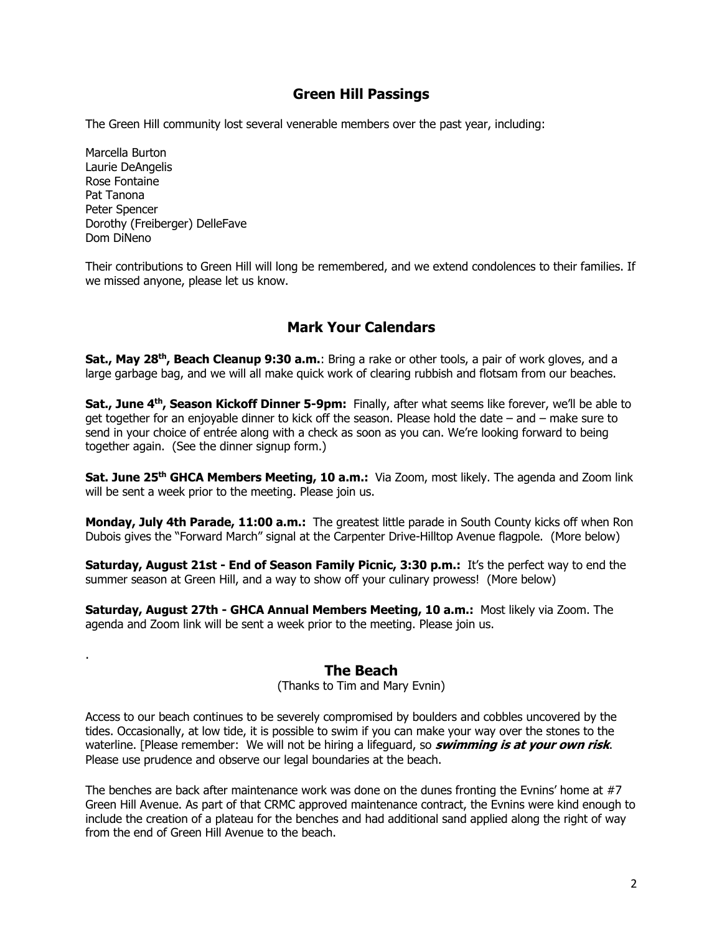## **Green Hill Passings**

The Green Hill community lost several venerable members over the past year, including:

Marcella Burton Laurie DeAngelis Rose Fontaine Pat Tanona Peter Spencer Dorothy (Freiberger) DelleFave Dom DiNeno

.

Their contributions to Green Hill will long be remembered, and we extend condolences to their families. If we missed anyone, please let us know.

## **Mark Your Calendars**

**Sat., May 28th, Beach Cleanup 9:30 a.m.**: Bring a rake or other tools, a pair of work gloves, and a large garbage bag, and we will all make quick work of clearing rubbish and flotsam from our beaches.

Sat., June 4<sup>th</sup>, Season Kickoff Dinner 5-9pm: Finally, after what seems like forever, we'll be able to get together for an enjoyable dinner to kick off the season. Please hold the date – and – make sure to send in your choice of entrée along with a check as soon as you can. We're looking forward to being together again. (See the dinner signup form.)

**Sat. June 25th GHCA Members Meeting, 10 a.m.:** Via Zoom, most likely. The agenda and Zoom link will be sent a week prior to the meeting. Please join us.

**Monday, July 4th Parade, 11:00 a.m.:** The greatest little parade in South County kicks off when Ron Dubois gives the "Forward March" signal at the Carpenter Drive-Hilltop Avenue flagpole. (More below)

**Saturday, August 21st - End of Season Family Picnic, 3:30 p.m.:** It's the perfect way to end the summer season at Green Hill, and a way to show off your culinary prowess! (More below)

**Saturday, August 27th - GHCA Annual Members Meeting, 10 a.m.:** Most likely via Zoom. The agenda and Zoom link will be sent a week prior to the meeting. Please join us.

### **The Beach**

(Thanks to Tim and Mary Evnin)

Access to our beach continues to be severely compromised by boulders and cobbles uncovered by the tides. Occasionally, at low tide, it is possible to swim if you can make your way over the stones to the waterline. [Please remember: We will not be hiring a lifeguard, so **swimming is at your own risk**. Please use prudence and observe our legal boundaries at the beach.

The benches are back after maintenance work was done on the dunes fronting the Evnins' home at #7 Green Hill Avenue. As part of that CRMC approved maintenance contract, the Evnins were kind enough to include the creation of a plateau for the benches and had additional sand applied along the right of way from the end of Green Hill Avenue to the beach.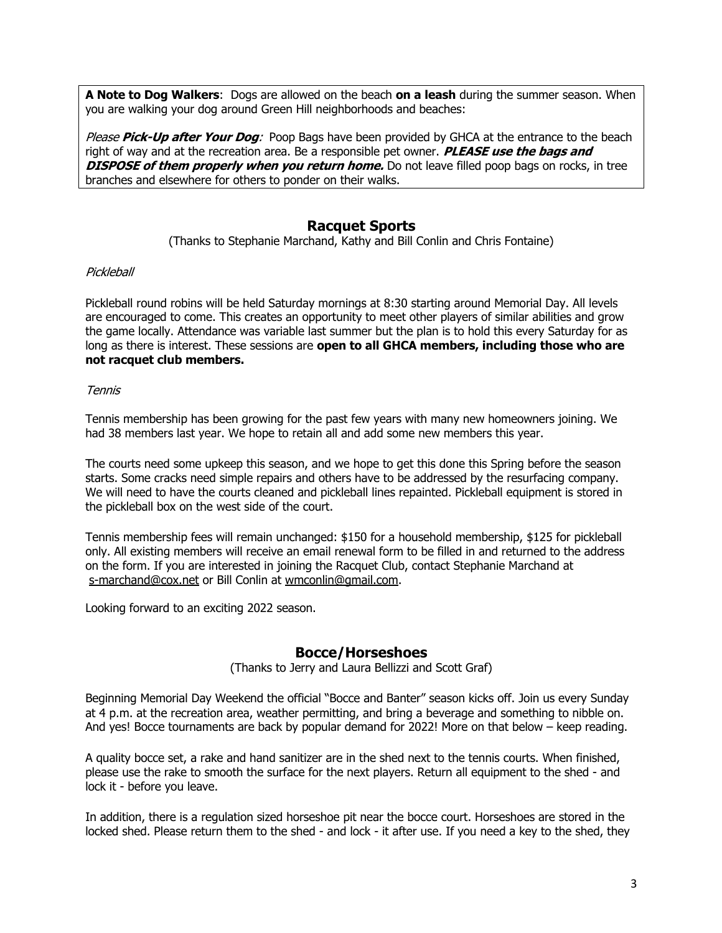**A Note to Dog Walkers**: Dogs are allowed on the beach **on a leash** during the summer season. When you are walking your dog around Green Hill neighborhoods and beaches:

Please **Pick-Up after Your Dog**: Poop Bags have been provided by GHCA at the entrance to the beach right of way and at the recreation area. Be a responsible pet owner. **PLEASE use the bags and DISPOSE of them properly when you return home.** Do not leave filled poop bags on rocks, in tree branches and elsewhere for others to ponder on their walks.

## **Racquet Sports**

(Thanks to Stephanie Marchand, Kathy and Bill Conlin and Chris Fontaine)

#### **Pickleball**

Pickleball round robins will be held Saturday mornings at 8:30 starting around Memorial Day. All levels are encouraged to come. This creates an opportunity to meet other players of similar abilities and grow the game locally. Attendance was variable last summer but the plan is to hold this every Saturday for as long as there is interest. These sessions are **open to all GHCA members, including those who are not racquet club members.**

#### Tennis

Tennis membership has been growing for the past few years with many new homeowners joining. We had 38 members last year. We hope to retain all and add some new members this year.

The courts need some upkeep this season, and we hope to get this done this Spring before the season starts. Some cracks need simple repairs and others have to be addressed by the resurfacing company. We will need to have the courts cleaned and pickleball lines repainted. Pickleball equipment is stored in the pickleball box on the west side of the court.

Tennis membership fees will remain unchanged: \$150 for a household membership, \$125 for pickleball only. All existing members will receive an email renewal form to be filled in and returned to the address on the form. If you are interested in joining the Racquet Club, contact Stephanie Marchand at s-marchand@cox.net or Bill Conlin at wmconlin@gmail.com.

Looking forward to an exciting 2022 season.

### **Bocce/Horseshoes**

(Thanks to Jerry and Laura Bellizzi and Scott Graf)

Beginning Memorial Day Weekend the official "Bocce and Banter" season kicks off. Join us every Sunday at 4 p.m. at the recreation area, weather permitting, and bring a beverage and something to nibble on. And yes! Bocce tournaments are back by popular demand for 2022! More on that below – keep reading.

A quality bocce set, a rake and hand sanitizer are in the shed next to the tennis courts. When finished, please use the rake to smooth the surface for the next players. Return all equipment to the shed - and lock it - before you leave.

In addition, there is a regulation sized horseshoe pit near the bocce court. Horseshoes are stored in the locked shed. Please return them to the shed - and lock - it after use. If you need a key to the shed, they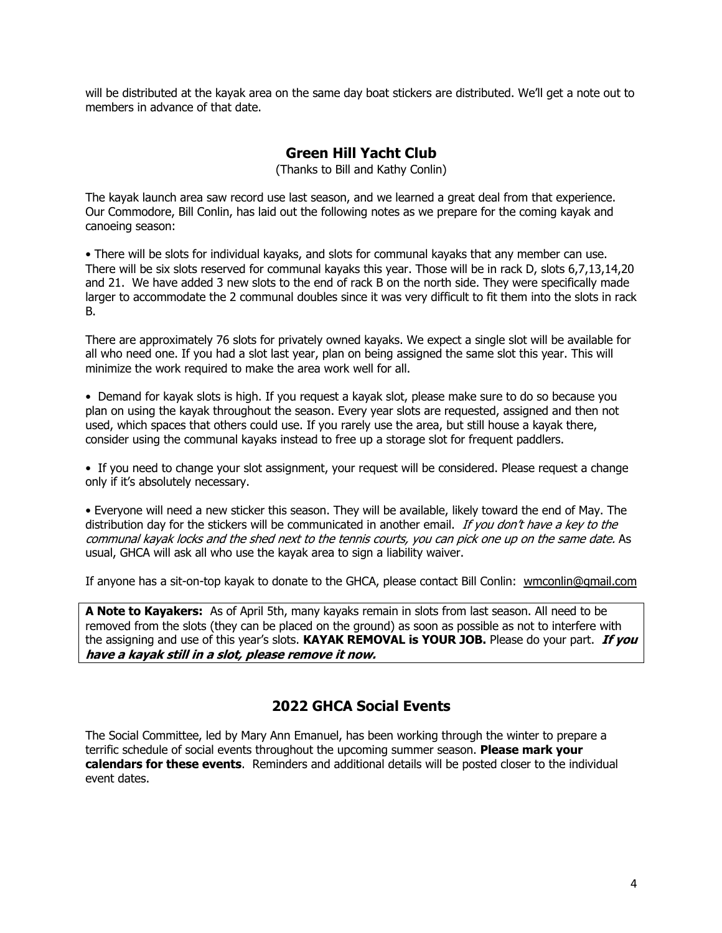will be distributed at the kayak area on the same day boat stickers are distributed. We'll get a note out to members in advance of that date.

## **Green Hill Yacht Club**

(Thanks to Bill and Kathy Conlin)

The kayak launch area saw record use last season, and we learned a great deal from that experience. Our Commodore, Bill Conlin, has laid out the following notes as we prepare for the coming kayak and canoeing season:

• There will be slots for individual kayaks, and slots for communal kayaks that any member can use. There will be six slots reserved for communal kayaks this year. Those will be in rack D, slots 6,7,13,14,20 and 21. We have added 3 new slots to the end of rack B on the north side. They were specifically made larger to accommodate the 2 communal doubles since it was very difficult to fit them into the slots in rack B.

There are approximately 76 slots for privately owned kayaks. We expect a single slot will be available for all who need one. If you had a slot last year, plan on being assigned the same slot this year. This will minimize the work required to make the area work well for all.

• Demand for kayak slots is high. If you request a kayak slot, please make sure to do so because you plan on using the kayak throughout the season. Every year slots are requested, assigned and then not used, which spaces that others could use. If you rarely use the area, but still house a kayak there, consider using the communal kayaks instead to free up a storage slot for frequent paddlers.

• If you need to change your slot assignment, your request will be considered. Please request a change only if it's absolutely necessary.

• Everyone will need a new sticker this season. They will be available, likely toward the end of May. The distribution day for the stickers will be communicated in another email. If you don't have a key to the communal kayak locks and the shed next to the tennis courts, you can pick one up on the same date. As usual, GHCA will ask all who use the kayak area to sign a liability waiver.

If anyone has a sit-on-top kayak to donate to the GHCA, please contact Bill Conlin: wmconlin@gmail.com

**A Note to Kayakers:** As of April 5th, many kayaks remain in slots from last season. All need to be removed from the slots (they can be placed on the ground) as soon as possible as not to interfere with the assigning and use of this year's slots. **KAYAK REMOVAL is YOUR JOB.** Please do your part. **If you have a kayak still in a slot, please remove it now.**

## **2022 GHCA Social Events**

The Social Committee, led by Mary Ann Emanuel, has been working through the winter to prepare a terrific schedule of social events throughout the upcoming summer season. **Please mark your calendars for these events**. Reminders and additional details will be posted closer to the individual event dates.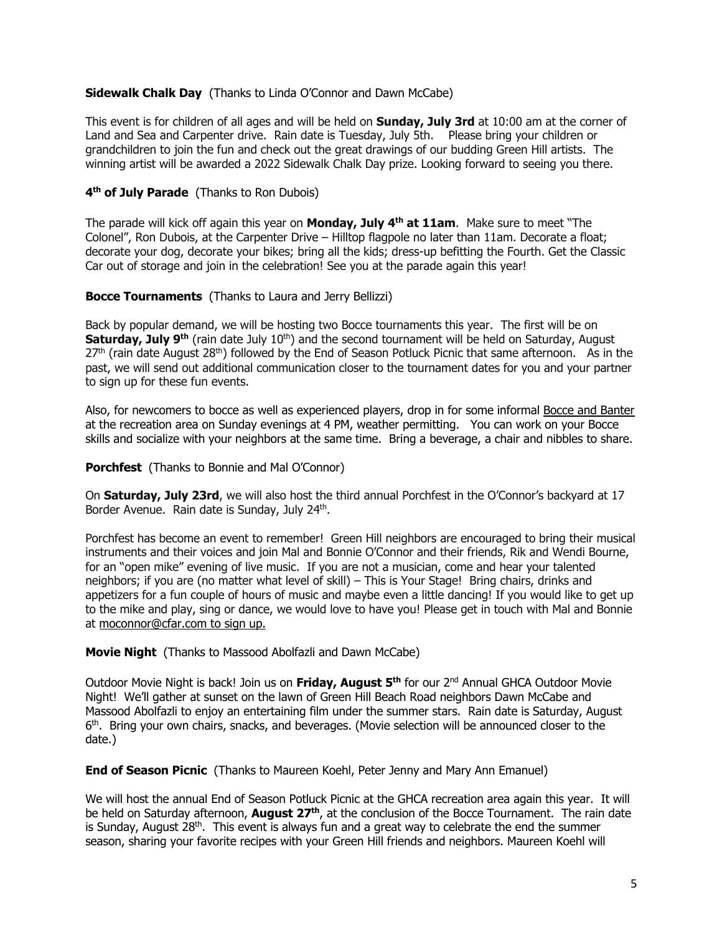#### **Sidewalk Chalk Day** (Thanks to Linda O'Connor and Dawn McCabe)

This event is for children of all ages and will be held on **Sunday, July 3rd** at 10:00 am at the corner of Land and Sea and Carpenter drive. Rain date is Tuesday, July 5th. Please bring your children or grandchildren to join the fun and check out the great drawings of our budding Green Hill artists. The winning artist will be awarded a 2022 Sidewalk Chalk Day prize. Looking forward to seeing you there.

#### **4th of July Parade** (Thanks to Ron Dubois)

The parade will kick off again this year on **Monday, July 4th at 11am**. Make sure to meet "The Colonel", Ron Dubois, at the Carpenter Drive – Hilltop flagpole no later than 11am. Decorate a float; decorate your dog, decorate your bikes; bring all the kids; dress-up befitting the Fourth. Get the Classic Car out of storage and join in the celebration! See you at the parade again this year!

#### **Bocce Tournaments** (Thanks to Laura and Jerry Bellizzi)

Back by popular demand, we will be hosting two Bocce tournaments this year. The first will be on **Saturday, July 9<sup>th</sup> (rain date July 10<sup>th</sup>) and the second tournament will be held on Saturday, August**  $27<sup>th</sup>$  (rain date August  $28<sup>th</sup>$ ) followed by the End of Season Potluck Picnic that same afternoon. As in the past, we will send out additional communication closer to the tournament dates for you and your partner to sign up for these fun events.

Also, for newcomers to bocce as well as experienced players, drop in for some informal Bocce and Banter at the recreation area on Sunday evenings at 4 PM, weather permitting. You can work on your Bocce skills and socialize with your neighbors at the same time. Bring a beverage, a chair and nibbles to share.

**Porchfest** (Thanks to Bonnie and Mal O'Connor)

On **Saturday, July 23rd**, we will also host the third annual Porchfest in the O'Connor's backyard at 17 Border Avenue. Rain date is Sunday, July 24th.

Porchfest has become an event to remember! Green Hill neighbors are encouraged to bring their musical instruments and their voices and join Mal and Bonnie O'Connor and their friends, Rik and Wendi Bourne, for an "open mike" evening of live music. If you are not a musician, come and hear your talented neighbors; if you are (no matter what level of skill) – This is Your Stage! Bring chairs, drinks and appetizers for a fun couple of hours of music and maybe even a little dancing! If you would like to get up to the mike and play, sing or dance, we would love to have you! Please get in touch with Mal and Bonnie at moconnor@cfar.com to sign up.

#### **Movie Night** (Thanks to Massood Abolfazli and Dawn McCabe)

Outdoor Movie Night is back! Join us on **Friday, August 5th** for our 2nd Annual GHCA Outdoor Movie Night! We'll gather at sunset on the lawn of Green Hill Beach Road neighbors Dawn McCabe and Massood Abolfazli to enjoy an entertaining film under the summer stars. Rain date is Saturday, August 6th. Bring your own chairs, snacks, and beverages. (Movie selection will be announced closer to the date.)

**End of Season Picnic** (Thanks to Maureen Koehl, Peter Jenny and Mary Ann Emanuel)

We will host the annual End of Season Potluck Picnic at the GHCA recreation area again this year. It will be held on Saturday afternoon, **August 27th**, at the conclusion of the Bocce Tournament. The rain date is Sunday, August  $28<sup>th</sup>$ . This event is always fun and a great way to celebrate the end the summer season, sharing your favorite recipes with your Green Hill friends and neighbors. Maureen Koehl will